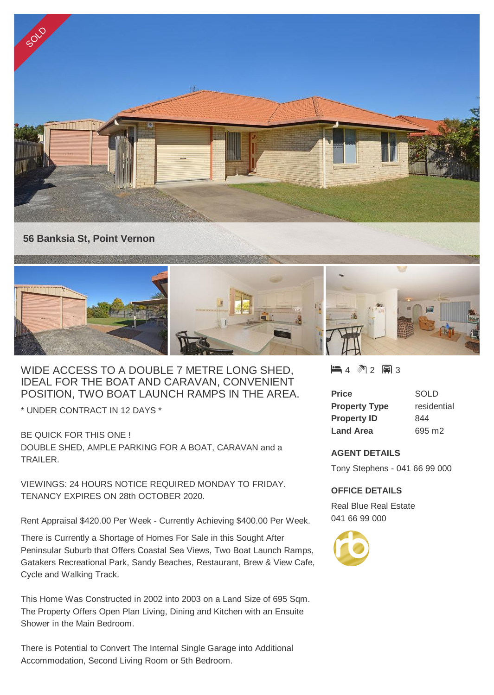

WIDE ACCESS TO A DOUBLE 7 METRE LONG SHED, IDEAL FOR THE BOAT AND CARAVAN, CONVENIENT POSITION, TWO BOAT LAUNCH RAMPS IN THE AREA.

\* UNDER CONTRACT IN 12 DAYS \*

BE QUICK FOR THIS ONE ! DOUBLE SHED, AMPLE PARKING FOR A BOAT, CARAVAN and a TRAILER.

VIEWINGS: 24 HOURS NOTICE REQUIRED MONDAY TO FRIDAY. TENANCY EXPIRES ON 28th OCTOBER 2020.

Rent Appraisal \$420.00 Per Week - Currently Achieving \$400.00 Per Week.

There is Currently a Shortage of Homes For Sale in this Sought After Peninsular Suburb that Offers Coastal Sea Views, Two Boat Launch Ramps, Gatakers Recreational Park, Sandy Beaches, Restaurant, Brew & View Cafe, Cycle and Walking Track.

This Home Was Constructed in 2002 into 2003 on a Land Size of 695 Sqm. The Property Offers Open Plan Living, Dining and Kitchen with an Ensuite Shower in the Main Bedroom.

There is Potential to Convert The Internal Single Garage into Additional Accommodation, Second Living Room or 5th Bedroom.

 $\blacksquare$  4  $\spadesuit$  2 2 3

| <b>Price</b>         | SOLD        |
|----------------------|-------------|
| <b>Property Type</b> | residential |
| <b>Property ID</b>   | 844         |
| <b>Land Area</b>     | 695 m2      |

## **AGENT DETAILS**

Tony Stephens - 041 66 99 000

## **OFFICE DETAILS**

Real Blue Real Estate 041 66 99 000